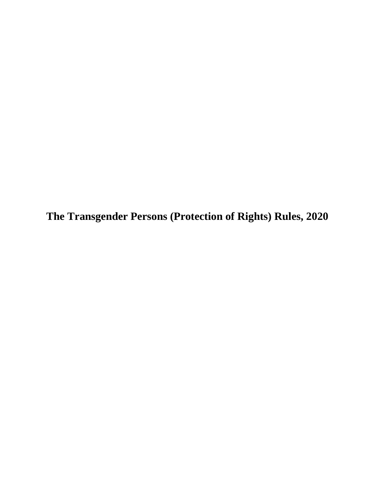**The Transgender Persons (Protection of Rights) Rules, 2020**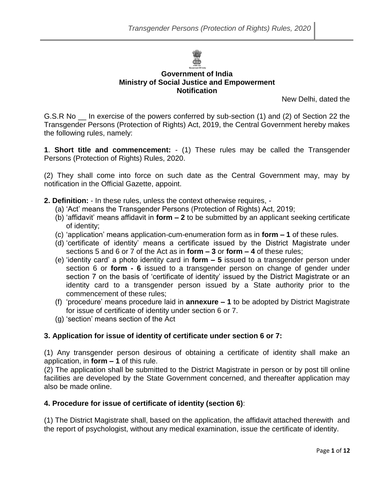

## **Government of India Ministry of Social Justice and Empowerment Notification**

New Delhi, dated the

G.S.R No \_\_ In exercise of the powers conferred by sub-section (1) and (2) of Section 22 the Transgender Persons (Protection of Rights) Act, 2019, the Central Government hereby makes the following rules, namely:

**1**. **Short title and commencement:** - (1) These rules may be called the Transgender Persons (Protection of Rights) Rules, 2020.

(2) They shall come into force on such date as the Central Government may, may by notification in the Official Gazette, appoint.

**2. Definition:** - In these rules, unless the context otherwise requires, -

- (a) 'Act' means the Transgender Persons (Protection of Rights) Act, 2019;
- (b) 'affidavit' means affidavit in **form – 2** to be submitted by an applicant seeking certificate of identity;
- (c) 'application' means application-cum-enumeration form as in **form – 1** of these rules.
- (d) 'certificate of identity' means a certificate issued by the District Magistrate under sections 5 and 6 or 7 of the Act as in **form – 3** or **form – 4** of these rules;
- (e) 'identity card' a photo identity card in **form – 5** issued to a transgender person under section 6 or **form - 6** issued to a transgender person on change of gender under section 7 on the basis of 'certificate of identity' issued by the District Magistrate or an identity card to a transgender person issued by a State authority prior to the commencement of these rules;
- (f) 'procedure' means procedure laid in **annexure – 1** to be adopted by District Magistrate for issue of certificate of identity under section 6 or 7.
- (g) 'section' means section of the Act

## **3. Application for issue of identity of certificate under section 6 or 7:**

(1) Any transgender person desirous of obtaining a certificate of identity shall make an application, in **form – 1** of this rule.

(2) The application shall be submitted to the District Magistrate in person or by post till online facilities are developed by the State Government concerned, and thereafter application may also be made online.

## **4. Procedure for issue of certificate of identity (section 6)**:

(1) The District Magistrate shall, based on the application, the affidavit attached therewith and the report of psychologist, without any medical examination, issue the certificate of identity.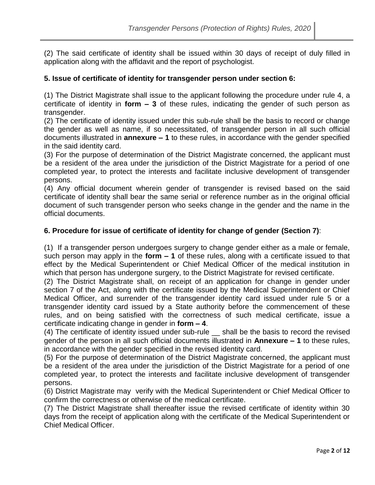(2) The said certificate of identity shall be issued within 30 days of receipt of duly filled in application along with the affidavit and the report of psychologist.

## **5. Issue of certificate of identity for transgender person under section 6:**

(1) The District Magistrate shall issue to the applicant following the procedure under rule 4, a certificate of identity in **form – 3** of these rules, indicating the gender of such person as transgender.

(2) The certificate of identity issued under this sub-rule shall be the basis to record or change the gender as well as name, if so necessitated, of transgender person in all such official documents illustrated in **annexure – 1** to these rules, in accordance with the gender specified in the said identity card.

(3) For the purpose of determination of the District Magistrate concerned, the applicant must be a resident of the area under the jurisdiction of the District Magistrate for a period of one completed year, to protect the interests and facilitate inclusive development of transgender persons.

(4) Any official document wherein gender of transgender is revised based on the said certificate of identity shall bear the same serial or reference number as in the original official document of such transgender person who seeks change in the gender and the name in the official documents.

## **6. Procedure for issue of certificate of identity for change of gender (Section 7)**:

(1) If a transgender person undergoes surgery to change gender either as a male or female, such person may apply in the **form – 1** of these rules, along with a certificate issued to that effect by the Medical Superintendent or Chief Medical Officer of the medical institution in which that person has undergone surgery, to the District Magistrate for revised certificate.

(2) The District Magistrate shall, on receipt of an application for change in gender under section 7 of the Act, along with the certificate issued by the Medical Superintendent or Chief Medical Officer, and surrender of the transgender identity card issued under rule 5 or a transgender identity card issued by a State authority before the commencement of these rules, and on being satisfied with the correctness of such medical certificate, issue a certificate indicating change in gender in **form – 4**.

(4) The certificate of identity issued under sub-rule \_\_ shall be the basis to record the revised gender of the person in all such official documents illustrated in **Annexure – 1** to these rules, in accordance with the gender specified in the revised identity card.

(5) For the purpose of determination of the District Magistrate concerned, the applicant must be a resident of the area under the jurisdiction of the District Magistrate for a period of one completed year, to protect the interests and facilitate inclusive development of transgender persons.

(6) District Magistrate may verify with the Medical Superintendent or Chief Medical Officer to confirm the correctness or otherwise of the medical certificate.

(7) The District Magistrate shall thereafter issue the revised certificate of identity within 30 days from the receipt of application along with the certificate of the Medical Superintendent or Chief Medical Officer.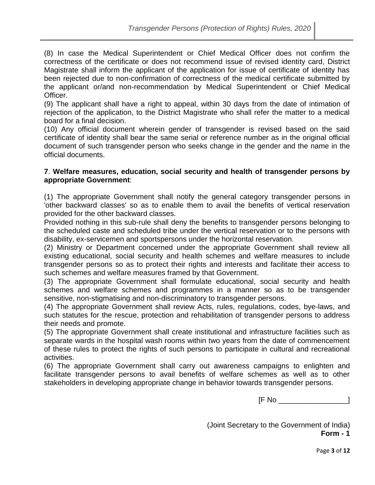(8) In case the Medical Superintendent or Chief Medical Officer does not confirm the correctness of the certificate or does not recommend issue of revised identity card, District Magistrate shall inform the applicant of the application for issue of certificate of identity has been rejected due to non-confirmation of correctness of the medical certificate submitted by the applicant or/and non-recommendation by Medical Superintendent or Chief Medical Officer.

(9) The applicant shall have a right to appeal, within 30 days from the date of intimation of rejection of the application, to the District Magistrate who shall refer the matter to a medical board for a final decision.

(10) Any official document wherein gender of transgender is revised based on the said certificate of identity shall bear the same serial or reference number as in the original official document of such transgender person who seeks change in the gender and the name in the official documents.

#### **7**. **Welfare measures, education, social security and health of transgender persons by appropriate Government**:

(1) The appropriate Government shall notify the general category transgender persons in 'other backward classes' so as to enable them to avail the benefits of vertical reservation provided for the other backward classes.

Provided nothing in this sub-rule shall deny the benefits to transgender persons belonging to the scheduled caste and scheduled tribe under the vertical reservation or to the persons with disability, ex-servicemen and sportspersons under the horizontal reservation.

(2) Ministry or Department concerned under the appropriate Government shall review all existing educational, social security and health schemes and welfare measures to include transgender persons so as to protect their rights and interests and facilitate their access to such schemes and welfare measures framed by that Government.

(3) The appropriate Government shall formulate educational, social security and health schemes and welfare schemes and programmes in a manner so as to be transgender sensitive, non-stigmatising and non-discriminatory to transgender persons.

(4) The appropriate Government shall review Acts, rules, regulations, codes, bye-laws, and such statutes for the rescue, protection and rehabilitation of transgender persons to address their needs and promote.

(5) The appropriate Government shall create institutional and infrastructure facilities such as separate wards in the hospital wash rooms within two years from the date of commencement of these rules to protect the rights of such persons to participate in cultural and recreational activities.

(6) The appropriate Government shall carry out awareness campaigns to enlighten and facilitate transgender persons to avail benefits of welfare schemes as well as to other stakeholders in developing appropriate change in behavior towards transgender persons.

[F No \_\_\_\_\_\_\_\_\_\_\_\_\_\_\_\_\_]

(Joint Secretary to the Government of India) **Form - 1**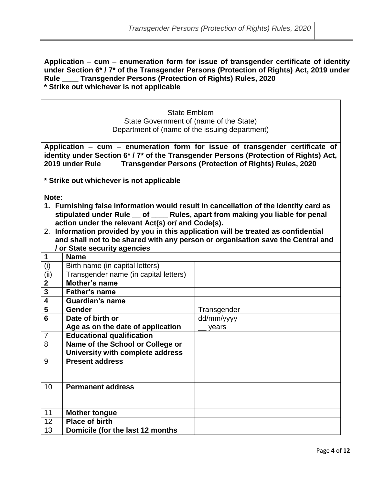**Application – cum – enumeration form for issue of transgender certificate of identity under Section 6\* / 7\* of the Transgender Persons (Protection of Rights) Act, 2019 under Rule \_\_\_\_ Transgender Persons (Protection of Rights) Rules, 2020 \* Strike out whichever is not applicable**

> State Emblem State Government of (name of the State) Department of (name of the issuing department)

**Application – cum – enumeration form for issue of transgender certificate of identity under Section 6\* / 7\* of the Transgender Persons (Protection of Rights) Act, 2019 under Rule \_\_\_\_ Transgender Persons (Protection of Rights) Rules, 2020**

**\* Strike out whichever is not applicable**

**Note:**

- **1. Furnishing false information would result in cancellation of the identity card as stipulated under Rule \_\_ of \_\_\_\_ Rules, apart from making you liable for penal action under the relevant Act(s) or/ and Code(s).**
- 2. **Information provided by you in this application will be treated as confidential and shall not to be shared with any person or organisation save the Central and / or State security agencies**

|                 | <b>Name</b>                           |             |
|-----------------|---------------------------------------|-------------|
| (i)             | Birth name (in capital letters)       |             |
| (i)             | Transgender name (in capital letters) |             |
| $\overline{2}$  | Mother's name                         |             |
| 3               | Father's name                         |             |
| 4               | <b>Guardian's name</b>                |             |
| 5               | <b>Gender</b>                         | Transgender |
| $6\phantom{1}6$ | Date of birth or                      | dd/mm/yyyy  |
|                 | Age as on the date of application     | years       |
| $\overline{7}$  | <b>Educational qualification</b>      |             |
| 8               | Name of the School or College or      |             |
|                 | University with complete address      |             |
| 9               | <b>Present address</b>                |             |
|                 |                                       |             |
| 10              | <b>Permanent address</b>              |             |
|                 |                                       |             |
|                 |                                       |             |
| 11              | <b>Mother tongue</b>                  |             |
| 12              | <b>Place of birth</b>                 |             |
| 13              | Domicile (for the last 12 months      |             |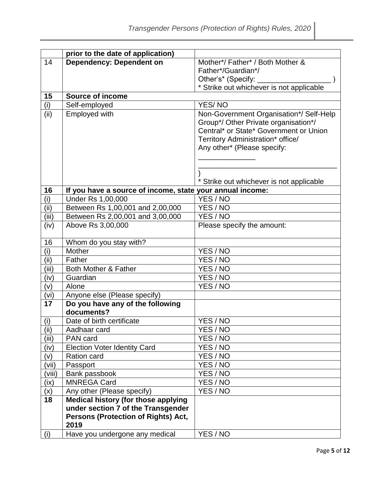|           | prior to the date of application)                                                |                                          |
|-----------|----------------------------------------------------------------------------------|------------------------------------------|
| 14        | <b>Dependency: Dependent on</b>                                                  | Mother*/Father*/Both Mother &            |
|           |                                                                                  | Father*/Guardian*/                       |
|           |                                                                                  | Other's* (Specify:                       |
|           |                                                                                  | * Strike out whichever is not applicable |
| 15        | Source of income                                                                 |                                          |
| (i)       | Self-employed                                                                    | <b>YES/NO</b>                            |
| (iii)     | Employed with                                                                    | Non-Government Organisation*/ Self-Help  |
|           |                                                                                  | Group*/ Other Private organisation*/     |
|           |                                                                                  | Central* or State* Government or Union   |
|           |                                                                                  | Territory Administration* office/        |
|           |                                                                                  | Any other* (Please specify:              |
|           |                                                                                  |                                          |
|           |                                                                                  |                                          |
|           |                                                                                  | * Strike out whichever is not applicable |
| 16        | If you have a source of income, state your annual income:                        |                                          |
| (i)       | Under Rs 1,00,000                                                                | YES / NO                                 |
| (ii)      | Between Rs 1,00,001 and 2,00,000                                                 | YES / NO                                 |
| (iii)     | Between Rs 2,00,001 and 3,00,000                                                 | YES / NO                                 |
| (iv)      | Above Rs 3,00,000                                                                | Please specify the amount:               |
|           |                                                                                  |                                          |
| 16        | Whom do you stay with?                                                           |                                          |
| (i)       | Mother                                                                           | YES / NO                                 |
| (iii)     | Father                                                                           | YES / NO                                 |
| (iii)     | Both Mother & Father                                                             | YES / NO                                 |
| (iv)      | Guardian                                                                         | YES / NO                                 |
| (v)       | Alone                                                                            | YES / NO                                 |
| (vi)      | Anyone else (Please specify)                                                     |                                          |
| 17        | Do you have any of the following                                                 |                                          |
|           | documents?                                                                       |                                          |
| (i)       | Date of birth certificate                                                        | YES / NO                                 |
| (ii)      | Aadhaar card                                                                     | YES / NO                                 |
| (iii)     | PAN card                                                                         | YES / NO                                 |
| (iv)      | <b>Election Voter Identity Card</b>                                              | YES / NO                                 |
| (v)       | Ration card                                                                      | YES / NO                                 |
| (vii)     | Passport                                                                         | YES / NO                                 |
| (viii)    | Bank passbook                                                                    | YES / NO                                 |
| (ix)      | <b>MNREGA Card</b>                                                               | YES / NO<br>YES / NO                     |
| (x)<br>18 | Any other (Please specify)                                                       |                                          |
|           | <b>Medical history (for those applying</b><br>under section 7 of the Transgender |                                          |
|           | Persons (Protection of Rights) Act,                                              |                                          |
|           | 2019                                                                             |                                          |
| (i)       | Have you undergone any medical                                                   | YES / NO                                 |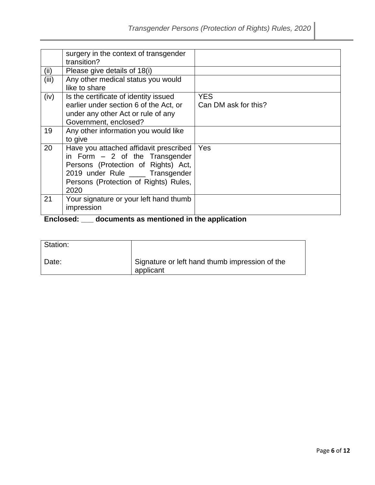|       | surgery in the context of transgender<br>transition?                                                                                                                                                  |                                    |
|-------|-------------------------------------------------------------------------------------------------------------------------------------------------------------------------------------------------------|------------------------------------|
| (ii)  | Please give details of 18(i)                                                                                                                                                                          |                                    |
| (iii) | Any other medical status you would<br>like to share                                                                                                                                                   |                                    |
| (iv)  | Is the certificate of identity issued<br>earlier under section 6 of the Act, or<br>under any other Act or rule of any<br>Government, enclosed?                                                        | <b>YES</b><br>Can DM ask for this? |
| 19    | Any other information you would like<br>to give                                                                                                                                                       |                                    |
| 20    | Have you attached affidavit prescribed<br>in Form $-2$ of the Transgender<br>Persons (Protection of Rights) Act,<br>2019 under Rule ____ Transgender<br>Persons (Protection of Rights) Rules,<br>2020 | <b>Yes</b>                         |
| 21    | Your signature or your left hand thumb<br>impression                                                                                                                                                  |                                    |

# **Enclosed: \_\_\_ documents as mentioned in the application**

| Station: |                                                             |
|----------|-------------------------------------------------------------|
| Date:    | Signature or left hand thumb impression of the<br>applicant |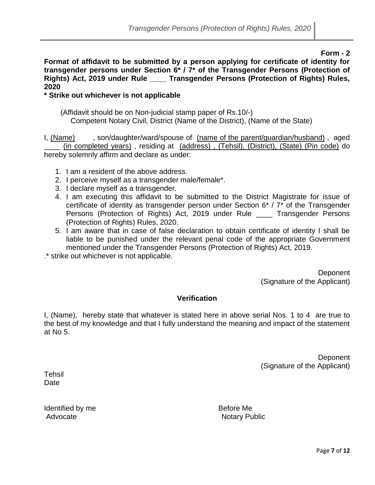**Form - 2**

**Format of affidavit to be submitted by a person applying for certificate of identity for transgender persons under Section 6\* / 7\* of the Transgender Persons (Protection of Rights) Act, 2019 under Rule \_\_\_\_ Transgender Persons (Protection of Rights) Rules, 2020**

## **\* Strike out whichever is not applicable**

 (Affidavit should be on Non-judicial stamp paper of Rs.10/-) Competent Notary Civil, District (Name of the District), (Name of the State)

I, (Name) , son/daughter/ward/spouse of (name of the parent/guardian/husband), aged \_\_\_\_ (in completed years) , residing at (address) , (Tehsil), (District), (State) (Pin code) do hereby solemnly affirm and declare as under:

- 1. I am a resident of the above address.
- 2. I perceive myself as a transgender male/female\*.
- 3. I declare myself as a transgender.
- 4. I am executing this affidavit to be submitted to the District Magistrate for issue of certificate of identity as transgender person under Section 6\* / 7\* of the Transgender Persons (Protection of Rights) Act, 2019 under Rule \_\_\_\_ Transgender Persons (Protection of Rights) Rules, 2020.
- 5. I am aware that in case of false declaration to obtain certificate of identity I shall be liable to be punished under the relevant penal code of the appropriate Government mentioned under the Transgender Persons (Protection of Rights) Act, 2019.

.\* strike out whichever is not applicable.

**Deponent** (Signature of the Applicant)

## **Verification**

I, (Name), hereby state that whatever is stated here in above serial Nos. 1 to 4 are true to the best of my knowledge and that I fully understand the meaning and impact of the statement at No 5.

> **Deponent** (Signature of the Applicant)

**Tehsil Date** 

Identified by me Before Me Advocate **Notary Public**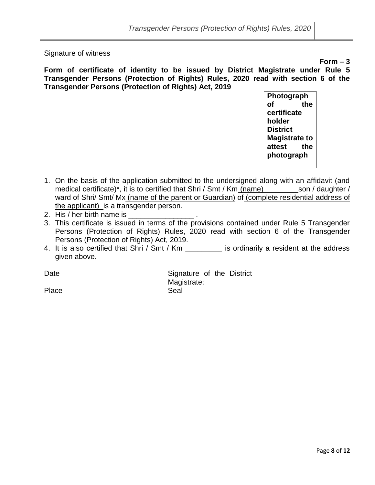Signature of witness

**Form – 3**

**Form of certificate of identity to be issued by District Magistrate under Rule 5 Transgender Persons (Protection of Rights) Rules, 2020 read with section 6 of the Transgender Persons (Protection of Rights) Act, 2019** 

> **Photograph of the certificate holder District Magistrate to attest the photograph**

- 1. On the basis of the application submitted to the undersigned along with an affidavit (and medical certificate)<sup>\*</sup>, it is to certified that Shri / Smt / Km (name) son / daughter / ward of Shri/ Smt/ Mx (name of the parent or Guardian) of (complete residential address of the applicant) is a transgender person.
- 2. His / her birth name is
- 3. This certificate is issued in terms of the provisions contained under Rule 5 Transgender Persons (Protection of Rights) Rules, 2020 read with section 6 of the Transgender Persons (Protection of Rights) Act, 2019.
- 4. It is also certified that Shri / Smt / Km \_\_\_\_\_\_\_\_\_ is ordinarily a resident at the address given above.

Date **Signature of the District** Magistrate:

Place Seal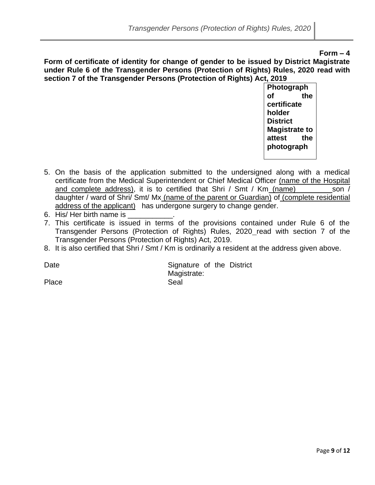#### **Form – 4**

**Form of certificate of identity for change of gender to be issued by District Magistrate under Rule 6 of the Transgender Persons (Protection of Rights) Rules, 2020 read with section 7 of the Transgender Persons (Protection of Rights) Act, 2019** 

> **Photograph of the certificate holder District Magistrate to attest the photograph**

- 5. On the basis of the application submitted to the undersigned along with a medical certificate from the Medical Superintendent or Chief Medical Officer (name of the Hospital and complete address), it is to certified that Shri / Smt / Km (name)\_\_\_\_\_\_\_\_ son / daughter / ward of Shri/ Smt/ Mx (name of the parent or Guardian) of (complete residential address of the applicant) has undergone surgery to change gender.
- 6. His/ Her birth name is
- 7. This certificate is issued in terms of the provisions contained under Rule 6 of the Transgender Persons (Protection of Rights) Rules, 2020 read with section 7 of the Transgender Persons (Protection of Rights) Act, 2019.
- 8. It is also certified that Shri / Smt / Km is ordinarily a resident at the address given above.

Date **Signature of the District** Magistrate:

Place Seal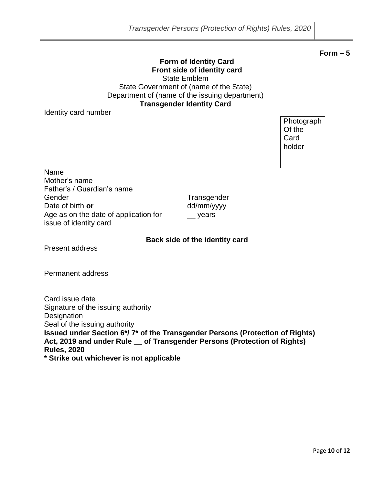## **Form of Identity Card Front side of identity card** State Emblem State Government of (name of the State) Department of (name of the issuing department) **Transgender Identity Card**

Identity card number

Photograph Of the **Card** holder

Name Mother's name Father's / Guardian's name Gender Transgender Transgender Date of birth **or** Age as on the date of application for issue of identity card

dd/mm/yyyy \_\_ years

## **Back side of the identity card**

Present address

Permanent address

Card issue date Signature of the issuing authority **Designation** Seal of the issuing authority **Issued under Section 6\*/ 7\* of the Transgender Persons (Protection of Rights) Act, 2019 and under Rule \_\_ of Transgender Persons (Protection of Rights) Rules, 2020 \* Strike out whichever is not applicable**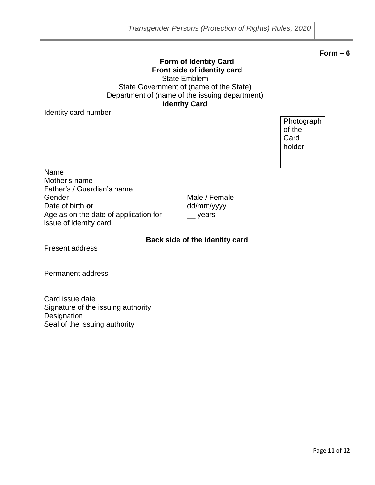#### **Form – 6**

#### **Form of Identity Card Front side of identity card** State Emblem State Government of (name of the State) Department of (name of the issuing department) **Identity Card**

Identity card number

**Photograph** of the Card holder

Name Mother's name Father's / Guardian's name Gender Male / Female Date of birth **or** Age as on the date of application for issue of identity card

dd/mm/yyyy \_\_ years

## **Back side of the identity card**

Present address

Permanent address

Card issue date Signature of the issuing authority **Designation** Seal of the issuing authority